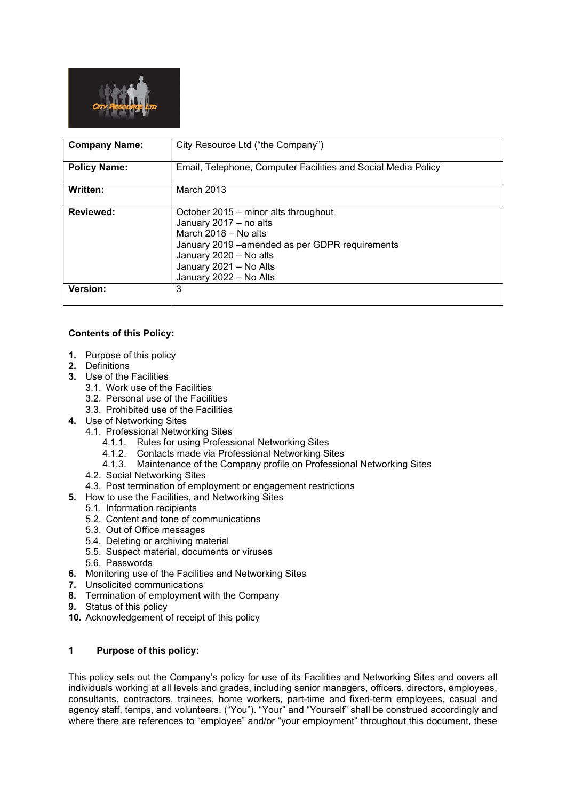

| <b>Company Name:</b> | City Resource Ltd ("the Company")                                                                                                                                                                                         |
|----------------------|---------------------------------------------------------------------------------------------------------------------------------------------------------------------------------------------------------------------------|
| <b>Policy Name:</b>  | Email, Telephone, Computer Facilities and Social Media Policy                                                                                                                                                             |
| Written:             | March 2013                                                                                                                                                                                                                |
| <b>Reviewed:</b>     | October 2015 – minor alts throughout<br>January 2017 - no alts<br>March $2018 - No$ alts<br>January 2019 - amended as per GDPR requirements<br>January 2020 - No alts<br>January 2021 - No Alts<br>January 2022 - No Alts |
| Version:             | 3                                                                                                                                                                                                                         |

# Contents of this Policy:

- 1. Purpose of this policy
- 2. Definitions
- 3. Use of the Facilities
	- 3.1. Work use of the Facilities
	- 3.2. Personal use of the Facilities
	- 3.3. Prohibited use of the Facilities
- 4. Use of Networking Sites
	- 4.1. Professional Networking Sites
		- 4.1.1. Rules for using Professional Networking Sites
		- 4.1.2. Contacts made via Professional Networking Sites
		- 4.1.3. Maintenance of the Company profile on Professional Networking Sites
		- 4.2. Social Networking Sites
	- 4.3. Post termination of employment or engagement restrictions
- 5. How to use the Facilities, and Networking Sites
	- 5.1. Information recipients
	- 5.2. Content and tone of communications
	- 5.3. Out of Office messages
	- 5.4. Deleting or archiving material
	- 5.5. Suspect material, documents or viruses
	- 5.6. Passwords
- 6. Monitoring use of the Facilities and Networking Sites
- 7. Unsolicited communications
- 8. Termination of employment with the Company
- 9. Status of this policy
- 10. Acknowledgement of receipt of this policy

# 1 Purpose of this policy:

This policy sets out the Company's policy for use of its Facilities and Networking Sites and covers all individuals working at all levels and grades, including senior managers, officers, directors, employees, consultants, contractors, trainees, home workers, part-time and fixed-term employees, casual and agency staff, temps, and volunteers. ("You"). "Your" and "Yourself" shall be construed accordingly and where there are references to "employee" and/or "your employment" throughout this document, these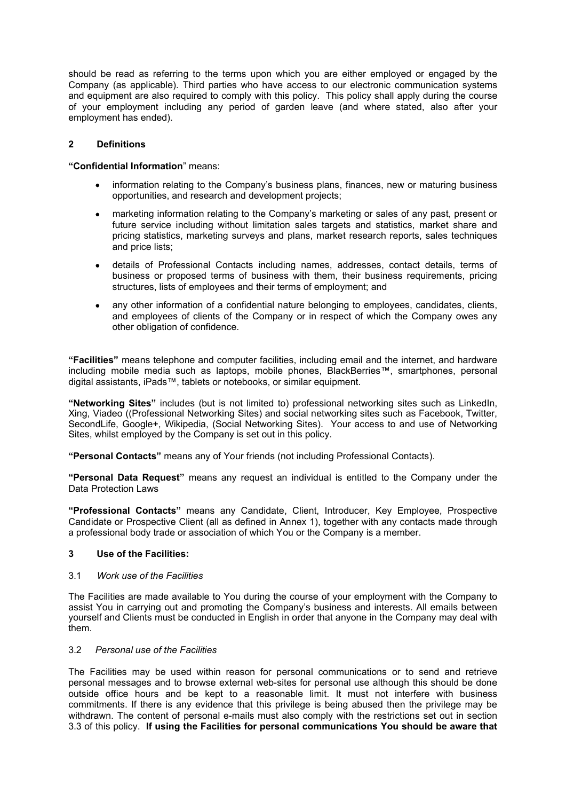should be read as referring to the terms upon which you are either employed or engaged by the Company (as applicable). Third parties who have access to our electronic communication systems and equipment are also required to comply with this policy. This policy shall apply during the course of your employment including any period of garden leave (and where stated, also after your employment has ended).

### 2 Definitions

#### "Confidential Information" means:

- information relating to the Company's business plans, finances, new or maturing business opportunities, and research and development projects;
- marketing information relating to the Company's marketing or sales of any past, present or future service including without limitation sales targets and statistics, market share and pricing statistics, marketing surveys and plans, market research reports, sales techniques and price lists;
- details of Professional Contacts including names, addresses, contact details, terms of business or proposed terms of business with them, their business requirements, pricing structures, lists of employees and their terms of employment; and
- any other information of a confidential nature belonging to employees, candidates, clients, and employees of clients of the Company or in respect of which the Company owes any other obligation of confidence.

"Facilities" means telephone and computer facilities, including email and the internet, and hardware including mobile media such as laptops, mobile phones, BlackBerries™, smartphones, personal digital assistants, iPads™, tablets or notebooks, or similar equipment.

"Networking Sites" includes (but is not limited to) professional networking sites such as LinkedIn, Xing, Viadeo ((Professional Networking Sites) and social networking sites such as Facebook, Twitter, SecondLife, Google+, Wikipedia, (Social Networking Sites). Your access to and use of Networking Sites, whilst employed by the Company is set out in this policy.

"Personal Contacts" means any of Your friends (not including Professional Contacts).

"Personal Data Request" means any request an individual is entitled to the Company under the Data Protection Laws

"Professional Contacts" means any Candidate, Client, Introducer, Key Employee, Prospective Candidate or Prospective Client (all as defined in Annex 1), together with any contacts made through a professional body trade or association of which You or the Company is a member.

#### 3 Use of the Facilities:

#### 3.1 Work use of the Facilities

The Facilities are made available to You during the course of your employment with the Company to assist You in carrying out and promoting the Company's business and interests. All emails between yourself and Clients must be conducted in English in order that anyone in the Company may deal with them.

### 3.2 Personal use of the Facilities

The Facilities may be used within reason for personal communications or to send and retrieve personal messages and to browse external web-sites for personal use although this should be done outside office hours and be kept to a reasonable limit. It must not interfere with business commitments. If there is any evidence that this privilege is being abused then the privilege may be withdrawn. The content of personal e-mails must also comply with the restrictions set out in section 3.3 of this policy. If using the Facilities for personal communications You should be aware that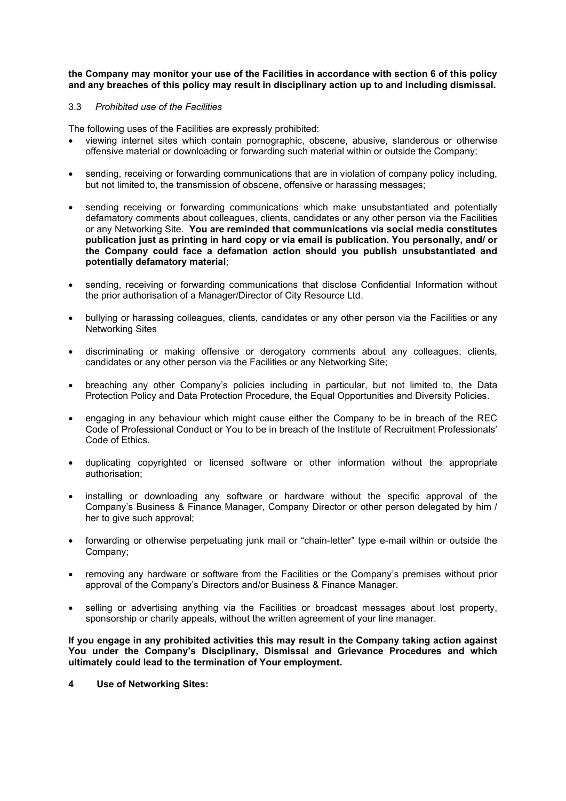### the Company may monitor your use of the Facilities in accordance with section 6 of this policy and any breaches of this policy may result in disciplinary action up to and including dismissal.

### 3.3 Prohibited use of the Facilities

The following uses of the Facilities are expressly prohibited:

- viewing internet sites which contain pornographic, obscene, abusive, slanderous or otherwise offensive material or downloading or forwarding such material within or outside the Company;
- sending, receiving or forwarding communications that are in violation of company policy including, but not limited to, the transmission of obscene, offensive or harassing messages;
- sending receiving or forwarding communications which make unsubstantiated and potentially defamatory comments about colleagues, clients, candidates or any other person via the Facilities or any Networking Site. You are reminded that communications via social media constitutes publication just as printing in hard copy or via email is publication. You personally, and/ or the Company could face a defamation action should you publish unsubstantiated and potentially defamatory material;
- sending, receiving or forwarding communications that disclose Confidential Information without the prior authorisation of a Manager/Director of City Resource Ltd.
- bullying or harassing colleagues, clients, candidates or any other person via the Facilities or any Networking Sites
- discriminating or making offensive or derogatory comments about any colleagues, clients, candidates or any other person via the Facilities or any Networking Site;
- breaching any other Company's policies including in particular, but not limited to, the Data Protection Policy and Data Protection Procedure, the Equal Opportunities and Diversity Policies.
- engaging in any behaviour which might cause either the Company to be in breach of the REC Code of Professional Conduct or You to be in breach of the Institute of Recruitment Professionals' Code of Ethics.
- duplicating copyrighted or licensed software or other information without the appropriate authorisation;
- installing or downloading any software or hardware without the specific approval of the Company's Business & Finance Manager, Company Director or other person delegated by him / her to give such approval;
- forwarding or otherwise perpetuating junk mail or "chain-letter" type e-mail within or outside the Company;
- removing any hardware or software from the Facilities or the Company's premises without prior approval of the Company's Directors and/or Business & Finance Manager.
- selling or advertising anything via the Facilities or broadcast messages about lost property, sponsorship or charity appeals, without the written agreement of your line manager.

If you engage in any prohibited activities this may result in the Company taking action against You under the Company's Disciplinary, Dismissal and Grievance Procedures and which ultimately could lead to the termination of Your employment.

4 Use of Networking Sites: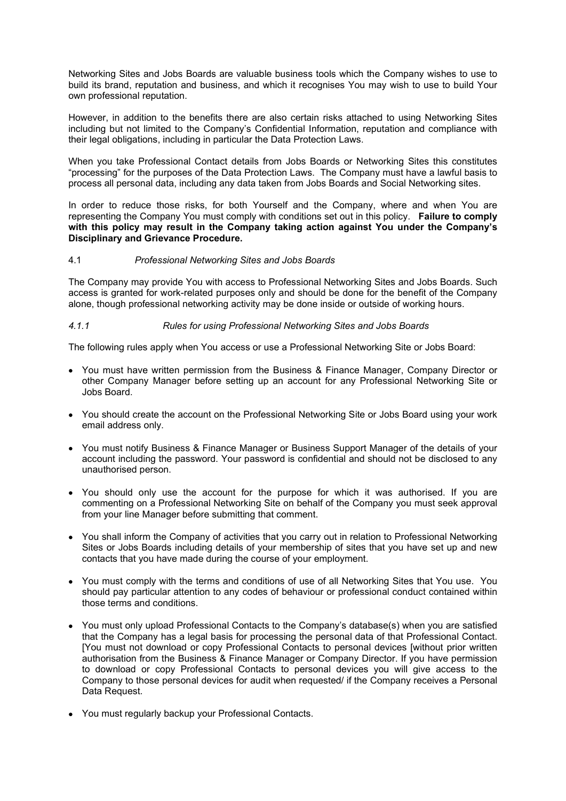Networking Sites and Jobs Boards are valuable business tools which the Company wishes to use to build its brand, reputation and business, and which it recognises You may wish to use to build Your own professional reputation.

However, in addition to the benefits there are also certain risks attached to using Networking Sites including but not limited to the Company's Confidential Information, reputation and compliance with their legal obligations, including in particular the Data Protection Laws.

When you take Professional Contact details from Jobs Boards or Networking Sites this constitutes "processing" for the purposes of the Data Protection Laws. The Company must have a lawful basis to process all personal data, including any data taken from Jobs Boards and Social Networking sites.

In order to reduce those risks, for both Yourself and the Company, where and when You are representing the Company You must comply with conditions set out in this policy. Failure to comply with this policy may result in the Company taking action against You under the Company's Disciplinary and Grievance Procedure.

### 4.1 Professional Networking Sites and Jobs Boards

The Company may provide You with access to Professional Networking Sites and Jobs Boards. Such access is granted for work-related purposes only and should be done for the benefit of the Company alone, though professional networking activity may be done inside or outside of working hours.

### 4.1.1 Rules for using Professional Networking Sites and Jobs Boards

The following rules apply when You access or use a Professional Networking Site or Jobs Board:

- You must have written permission from the Business & Finance Manager, Company Director or other Company Manager before setting up an account for any Professional Networking Site or Jobs Board.
- You should create the account on the Professional Networking Site or Jobs Board using your work email address only.
- You must notify Business & Finance Manager or Business Support Manager of the details of your account including the password. Your password is confidential and should not be disclosed to any unauthorised person.
- You should only use the account for the purpose for which it was authorised. If you are commenting on a Professional Networking Site on behalf of the Company you must seek approval from your line Manager before submitting that comment.
- You shall inform the Company of activities that you carry out in relation to Professional Networking Sites or Jobs Boards including details of your membership of sites that you have set up and new contacts that you have made during the course of your employment.
- You must comply with the terms and conditions of use of all Networking Sites that You use. You should pay particular attention to any codes of behaviour or professional conduct contained within those terms and conditions.
- You must only upload Professional Contacts to the Company's database(s) when you are satisfied that the Company has a legal basis for processing the personal data of that Professional Contact. [You must not download or copy Professional Contacts to personal devices [without prior written authorisation from the Business & Finance Manager or Company Director. If you have permission to download or copy Professional Contacts to personal devices you will give access to the Company to those personal devices for audit when requested/ if the Company receives a Personal Data Request.
- You must regularly backup your Professional Contacts.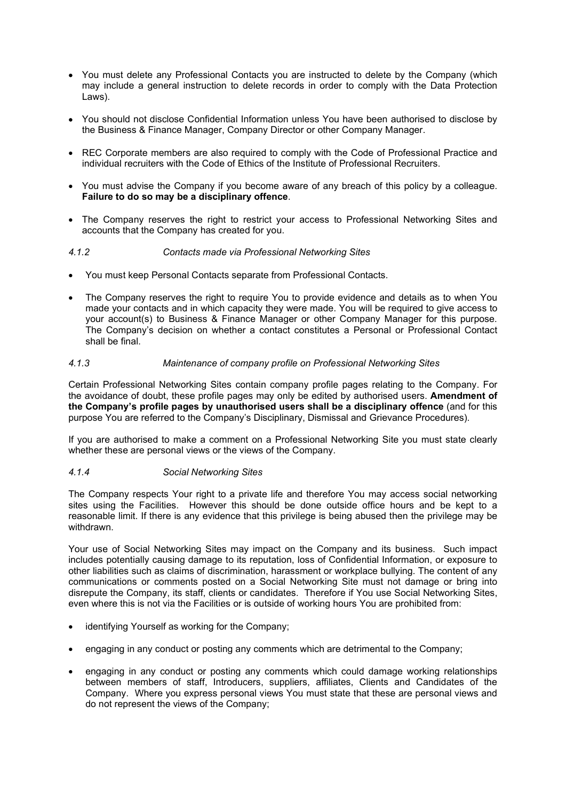- You must delete any Professional Contacts you are instructed to delete by the Company (which may include a general instruction to delete records in order to comply with the Data Protection Laws).
- You should not disclose Confidential Information unless You have been authorised to disclose by the Business & Finance Manager, Company Director or other Company Manager.
- REC Corporate members are also required to comply with the Code of Professional Practice and individual recruiters with the Code of Ethics of the Institute of Professional Recruiters.
- You must advise the Company if you become aware of any breach of this policy by a colleague. Failure to do so may be a disciplinary offence.
- The Company reserves the right to restrict your access to Professional Networking Sites and accounts that the Company has created for you.

### 4.1.2 Contacts made via Professional Networking Sites

- You must keep Personal Contacts separate from Professional Contacts.
- The Company reserves the right to require You to provide evidence and details as to when You made your contacts and in which capacity they were made. You will be required to give access to your account(s) to Business & Finance Manager or other Company Manager for this purpose. The Company's decision on whether a contact constitutes a Personal or Professional Contact shall be final.

### 4.1.3 Maintenance of company profile on Professional Networking Sites

Certain Professional Networking Sites contain company profile pages relating to the Company. For the avoidance of doubt, these profile pages may only be edited by authorised users. Amendment of the Company's profile pages by unauthorised users shall be a disciplinary offence (and for this purpose You are referred to the Company's Disciplinary, Dismissal and Grievance Procedures).

If you are authorised to make a comment on a Professional Networking Site you must state clearly whether these are personal views or the views of the Company.

#### 4.1.4 Social Networking Sites

The Company respects Your right to a private life and therefore You may access social networking sites using the Facilities. However this should be done outside office hours and be kept to a reasonable limit. If there is any evidence that this privilege is being abused then the privilege may be withdrawn.

Your use of Social Networking Sites may impact on the Company and its business. Such impact includes potentially causing damage to its reputation, loss of Confidential Information, or exposure to other liabilities such as claims of discrimination, harassment or workplace bullying. The content of any communications or comments posted on a Social Networking Site must not damage or bring into disrepute the Company, its staff, clients or candidates. Therefore if You use Social Networking Sites, even where this is not via the Facilities or is outside of working hours You are prohibited from:

- identifying Yourself as working for the Company;
- engaging in any conduct or posting any comments which are detrimental to the Company;
- engaging in any conduct or posting any comments which could damage working relationships between members of staff, Introducers, suppliers, affiliates, Clients and Candidates of the Company. Where you express personal views You must state that these are personal views and do not represent the views of the Company;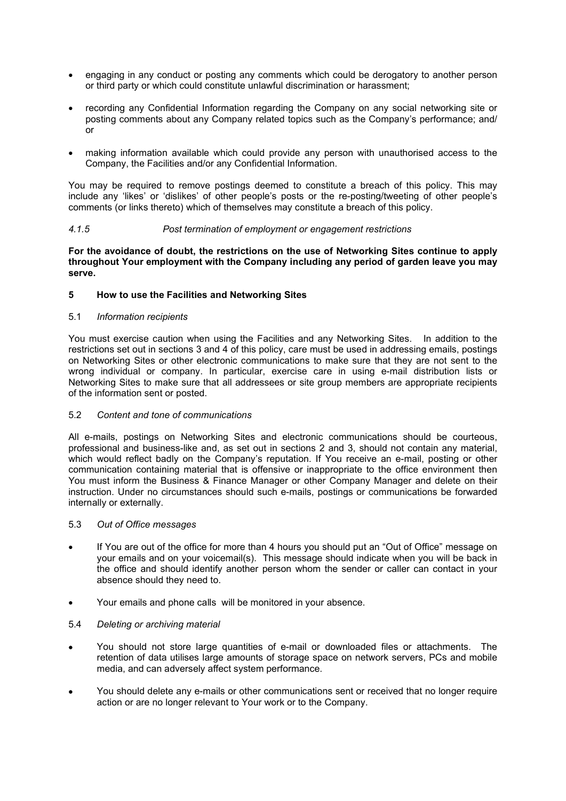- engaging in any conduct or posting any comments which could be derogatory to another person or third party or which could constitute unlawful discrimination or harassment;
- recording any Confidential Information regarding the Company on any social networking site or posting comments about any Company related topics such as the Company's performance; and/ or
- making information available which could provide any person with unauthorised access to the Company, the Facilities and/or any Confidential Information.

You may be required to remove postings deemed to constitute a breach of this policy. This may include any 'likes' or 'dislikes' of other people's posts or the re-posting/tweeting of other people's comments (or links thereto) which of themselves may constitute a breach of this policy.

### 4.1.5 Post termination of employment or engagement restrictions

#### For the avoidance of doubt, the restrictions on the use of Networking Sites continue to apply throughout Your employment with the Company including any period of garden leave you may serve.

### 5 How to use the Facilities and Networking Sites

#### 5.1 Information recipients

You must exercise caution when using the Facilities and any Networking Sites. In addition to the restrictions set out in sections 3 and 4 of this policy, care must be used in addressing emails, postings on Networking Sites or other electronic communications to make sure that they are not sent to the wrong individual or company. In particular, exercise care in using e-mail distribution lists or Networking Sites to make sure that all addressees or site group members are appropriate recipients of the information sent or posted.

#### 5.2 Content and tone of communications

All e-mails, postings on Networking Sites and electronic communications should be courteous, professional and business-like and, as set out in sections 2 and 3, should not contain any material, which would reflect badly on the Company's reputation. If You receive an e-mail, posting or other communication containing material that is offensive or inappropriate to the office environment then You must inform the Business & Finance Manager or other Company Manager and delete on their instruction. Under no circumstances should such e-mails, postings or communications be forwarded internally or externally.

#### 5.3 Out of Office messages

- If You are out of the office for more than 4 hours you should put an "Out of Office" message on your emails and on your voicemail(s). This message should indicate when you will be back in the office and should identify another person whom the sender or caller can contact in your absence should they need to.
- Your emails and phone calls will be monitored in your absence.

#### 5.4 Deleting or archiving material

- You should not store large quantities of e-mail or downloaded files or attachments. The retention of data utilises large amounts of storage space on network servers, PCs and mobile media, and can adversely affect system performance.
- You should delete any e-mails or other communications sent or received that no longer require action or are no longer relevant to Your work or to the Company.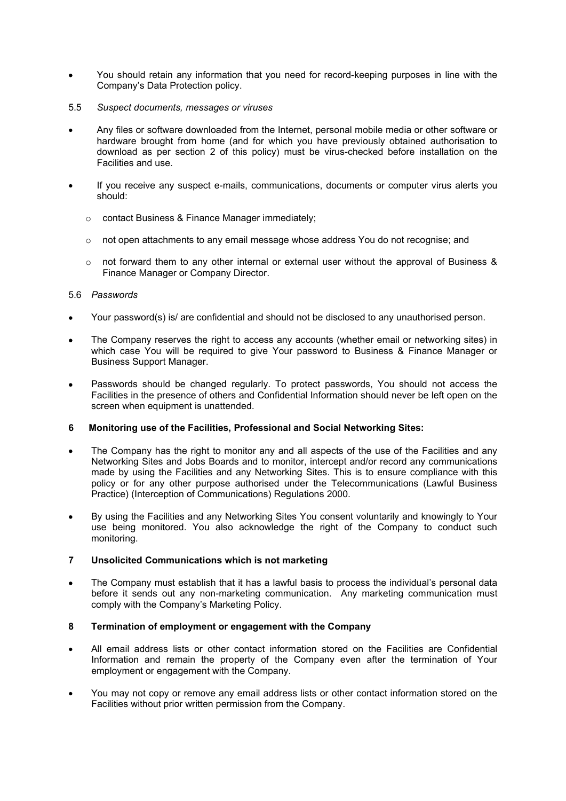- You should retain any information that you need for record-keeping purposes in line with the Company's Data Protection policy.
- 5.5 Suspect documents, messages or viruses
- Any files or software downloaded from the Internet, personal mobile media or other software or hardware brought from home (and for which you have previously obtained authorisation to download as per section 2 of this policy) must be virus-checked before installation on the Facilities and use.
- If you receive any suspect e-mails, communications, documents or computer virus alerts you should:
	- o contact Business & Finance Manager immediately;
	- $\circ$  not open attachments to any email message whose address You do not recognise; and
	- $\circ$  not forward them to any other internal or external user without the approval of Business & Finance Manager or Company Director.

### 5.6 Passwords

- Your password(s) is/ are confidential and should not be disclosed to any unauthorised person.
- The Company reserves the right to access any accounts (whether email or networking sites) in which case You will be required to give Your password to Business & Finance Manager or Business Support Manager.
- Passwords should be changed regularly. To protect passwords, You should not access the Facilities in the presence of others and Confidential Information should never be left open on the screen when equipment is unattended.

# 6 Monitoring use of the Facilities, Professional and Social Networking Sites:

- The Company has the right to monitor any and all aspects of the use of the Facilities and any Networking Sites and Jobs Boards and to monitor, intercept and/or record any communications made by using the Facilities and any Networking Sites. This is to ensure compliance with this policy or for any other purpose authorised under the Telecommunications (Lawful Business Practice) (Interception of Communications) Regulations 2000.
- By using the Facilities and any Networking Sites You consent voluntarily and knowingly to Your use being monitored. You also acknowledge the right of the Company to conduct such monitoring.

# 7 Unsolicited Communications which is not marketing

 The Company must establish that it has a lawful basis to process the individual's personal data before it sends out any non-marketing communication. Any marketing communication must comply with the Company's Marketing Policy.

# 8 Termination of employment or engagement with the Company

- All email address lists or other contact information stored on the Facilities are Confidential Information and remain the property of the Company even after the termination of Your employment or engagement with the Company.
- You may not copy or remove any email address lists or other contact information stored on the Facilities without prior written permission from the Company.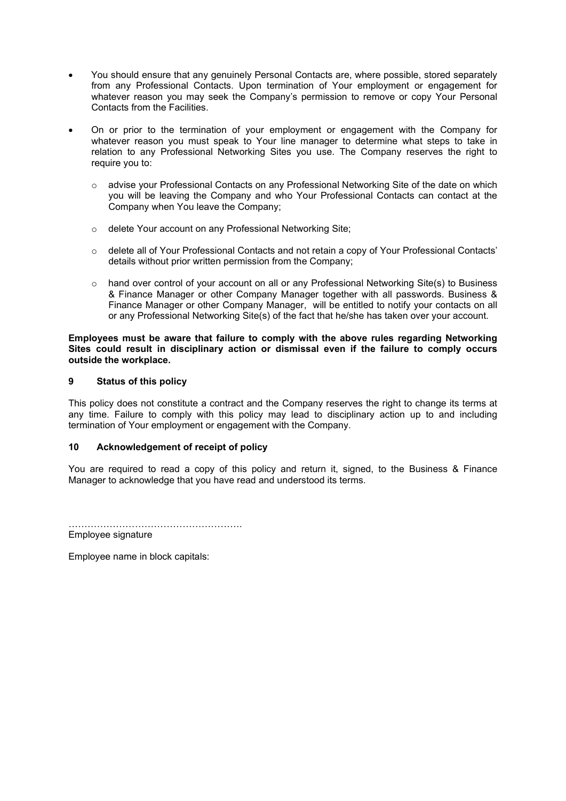- You should ensure that any genuinely Personal Contacts are, where possible, stored separately from any Professional Contacts. Upon termination of Your employment or engagement for whatever reason you may seek the Company's permission to remove or copy Your Personal Contacts from the Facilities.
- On or prior to the termination of your employment or engagement with the Company for whatever reason you must speak to Your line manager to determine what steps to take in relation to any Professional Networking Sites you use. The Company reserves the right to require you to:
	- o advise your Professional Contacts on any Professional Networking Site of the date on which you will be leaving the Company and who Your Professional Contacts can contact at the Company when You leave the Company;
	- o delete Your account on any Professional Networking Site;
	- $\circ$  delete all of Your Professional Contacts and not retain a copy of Your Professional Contacts' details without prior written permission from the Company;
	- $\circ$  hand over control of your account on all or any Professional Networking Site(s) to Business & Finance Manager or other Company Manager together with all passwords. Business & Finance Manager or other Company Manager, will be entitled to notify your contacts on all or any Professional Networking Site(s) of the fact that he/she has taken over your account.

Employees must be aware that failure to comply with the above rules regarding Networking Sites could result in disciplinary action or dismissal even if the failure to comply occurs outside the workplace.

### 9 Status of this policy

This policy does not constitute a contract and the Company reserves the right to change its terms at any time. Failure to comply with this policy may lead to disciplinary action up to and including termination of Your employment or engagement with the Company.

# 10 Acknowledgement of receipt of policy

You are required to read a copy of this policy and return it, signed, to the Business & Finance Manager to acknowledge that you have read and understood its terms.

……………………………………………….

Employee signature

Employee name in block capitals: